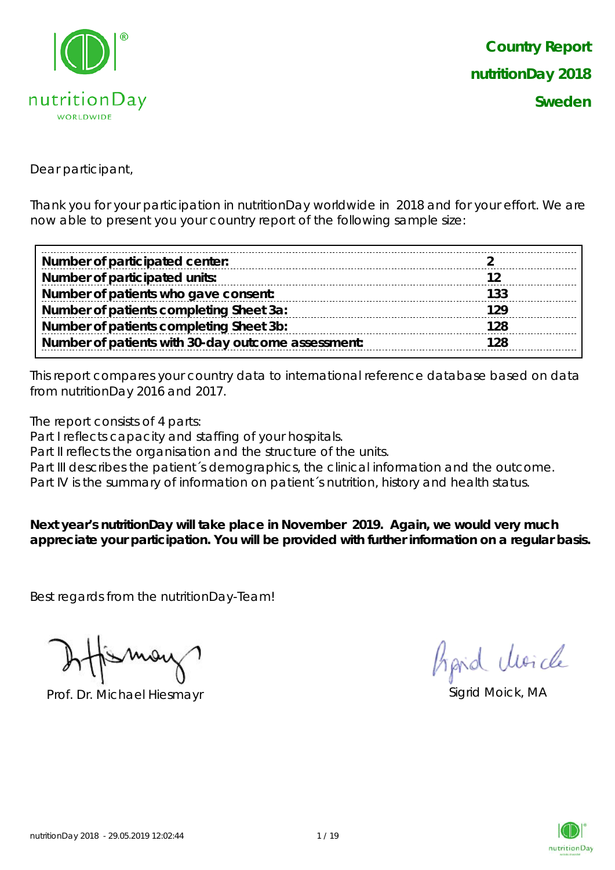

Dear participant,

Thank you for your participation in nutritionDay worldwide in 2018 and for your effort. We are now able to present you your country report of the following sample size:

| Number of participated center:                     |     |
|----------------------------------------------------|-----|
| Number of participated units:                      |     |
| Number of patients who gave consent:               | 133 |
| Number of patients completing Sheet 3a:            | 129 |
| Number of patients completing Sheet 3b:            | 128 |
| Number of patients with 30-day outcome assessment: | 128 |

This report compares your country data to international reference database based on data from nutritionDay 2016 and 2017.

The report consists of 4 parts:

Part I reflects capacity and staffing of your hospitals.

Part II reflects the organisation and the structure of the units.

Part III describes the patient's demographics, the clinical information and the outcome.

Part IV is the summary of information on patient's nutrition, history and health status.

**Next year's nutritionDay will take place in November 2019. Again, we would very much appreciate your participation. You will be provided with further information on a regular basis.**

Best regards from the nutritionDay-Team!

Prof. Dr. Michael Hiesmayr Sigrid Moick, MA

hard Moich

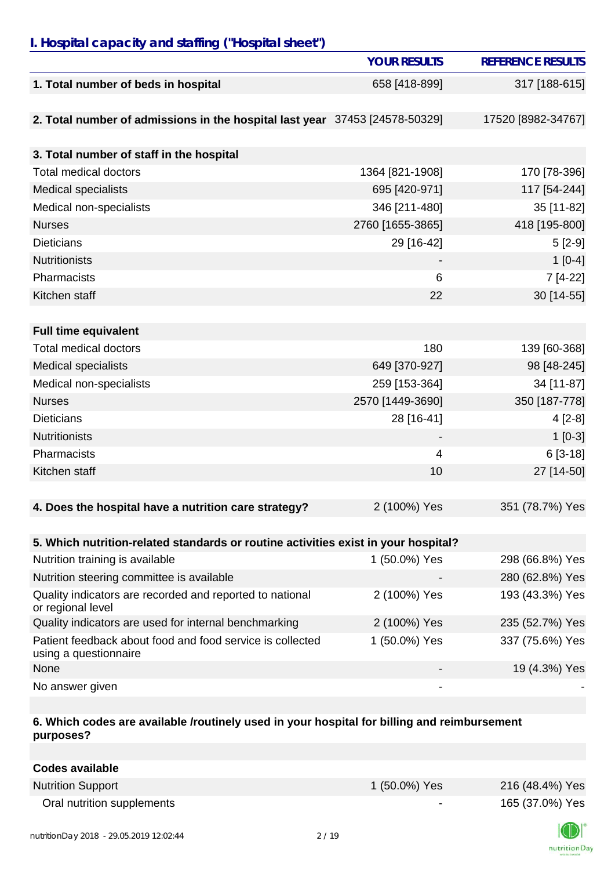### *I. Hospital capacity and staffing ("Hospital sheet")*

|                                                                                    | <b>YOUR RESULTS</b>      | <b>REFERENCE RESULTS</b> |
|------------------------------------------------------------------------------------|--------------------------|--------------------------|
| 1. Total number of beds in hospital                                                | 658 [418-899]            | 317 [188-615]            |
|                                                                                    |                          |                          |
| 2. Total number of admissions in the hospital last year 37453 [24578-50329]        |                          | 17520 [8982-34767]       |
|                                                                                    |                          |                          |
| 3. Total number of staff in the hospital                                           |                          |                          |
| <b>Total medical doctors</b>                                                       | 1364 [821-1908]          | 170 [78-396]             |
| Medical specialists                                                                | 695 [420-971]            | 117 [54-244]             |
| Medical non-specialists                                                            | 346 [211-480]            | 35 [11-82]               |
| <b>Nurses</b>                                                                      | 2760 [1655-3865]         | 418 [195-800]            |
| <b>Dieticians</b>                                                                  | 29 [16-42]               | $5[2-9]$                 |
| <b>Nutritionists</b>                                                               |                          | $1[0-4]$                 |
| Pharmacists                                                                        | 6                        | $7[4-22]$                |
| Kitchen staff                                                                      | 22                       | 30 [14-55]               |
|                                                                                    |                          |                          |
| <b>Full time equivalent</b>                                                        |                          |                          |
| <b>Total medical doctors</b>                                                       | 180                      | 139 [60-368]             |
| <b>Medical specialists</b>                                                         | 649 [370-927]            | 98 [48-245]              |
| Medical non-specialists                                                            | 259 [153-364]            | 34 [11-87]               |
| <b>Nurses</b>                                                                      | 2570 [1449-3690]         | 350 [187-778]            |
| <b>Dieticians</b>                                                                  | 28 [16-41]               | $4[2-8]$                 |
| <b>Nutritionists</b>                                                               | $\overline{\phantom{a}}$ | $1[0-3]$                 |
| Pharmacists                                                                        | 4                        | $6[3-18]$                |
| Kitchen staff                                                                      | 10                       | 27 [14-50]               |
|                                                                                    |                          |                          |
| 4. Does the hospital have a nutrition care strategy?                               | 2 (100%) Yes             | 351 (78.7%) Yes          |
|                                                                                    |                          |                          |
| 5. Which nutrition-related standards or routine activities exist in your hospital? |                          |                          |
| Nutrition training is available                                                    | 1 (50.0%) Yes            | 298 (66.8%) Yes          |
| Nutrition steering committee is available                                          |                          | 280 (62.8%) Yes          |
| Quality indicators are recorded and reported to national<br>or regional level      | 2 (100%) Yes             | 193 (43.3%) Yes          |
| Quality indicators are used for internal benchmarking                              | 2 (100%) Yes             | 235 (52.7%) Yes          |
| Patient feedback about food and food service is collected<br>using a questionnaire | 1 (50.0%) Yes            | 337 (75.6%) Yes          |
| None                                                                               |                          | 19 (4.3%) Yes            |
| No answer given                                                                    |                          |                          |

#### **6. Which codes are available /routinely used in your hospital for billing and reimbursement purposes?**

| <b>Codes available</b>     |                |                 |
|----------------------------|----------------|-----------------|
| <b>Nutrition Support</b>   | 1 (50.0%) Yes  | 216 (48.4%) Yes |
| Oral nutrition supplements | $\blacksquare$ | 165 (37.0%) Yes |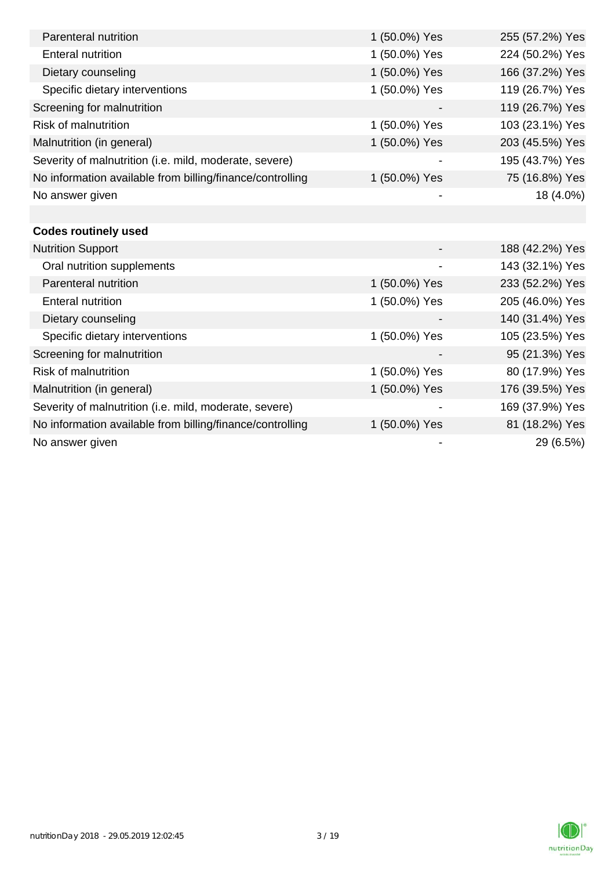| Parenteral nutrition                                      | 1 (50.0%) Yes | 255 (57.2%) Yes |
|-----------------------------------------------------------|---------------|-----------------|
| <b>Enteral nutrition</b>                                  | 1 (50.0%) Yes | 224 (50.2%) Yes |
| Dietary counseling                                        | 1 (50.0%) Yes | 166 (37.2%) Yes |
| Specific dietary interventions                            | 1 (50.0%) Yes | 119 (26.7%) Yes |
| Screening for malnutrition                                |               | 119 (26.7%) Yes |
| <b>Risk of malnutrition</b>                               | 1 (50.0%) Yes | 103 (23.1%) Yes |
| Malnutrition (in general)                                 | 1 (50.0%) Yes | 203 (45.5%) Yes |
| Severity of malnutrition (i.e. mild, moderate, severe)    |               | 195 (43.7%) Yes |
| No information available from billing/finance/controlling | 1 (50.0%) Yes | 75 (16.8%) Yes  |
| No answer given                                           |               | 18 (4.0%)       |
|                                                           |               |                 |
| <b>Codes routinely used</b>                               |               |                 |
| <b>Nutrition Support</b>                                  |               | 188 (42.2%) Yes |
| Oral nutrition supplements                                |               | 143 (32.1%) Yes |
| Parenteral nutrition                                      | 1 (50.0%) Yes | 233 (52.2%) Yes |
| <b>Enteral nutrition</b>                                  | 1 (50.0%) Yes | 205 (46.0%) Yes |
| Dietary counseling                                        |               | 140 (31.4%) Yes |
| Specific dietary interventions                            | 1 (50.0%) Yes | 105 (23.5%) Yes |
| Screening for malnutrition                                |               | 95 (21.3%) Yes  |
| <b>Risk of malnutrition</b>                               | 1 (50.0%) Yes | 80 (17.9%) Yes  |
| Malnutrition (in general)                                 | 1 (50.0%) Yes | 176 (39.5%) Yes |
| Severity of malnutrition (i.e. mild, moderate, severe)    |               | 169 (37.9%) Yes |
| No information available from billing/finance/controlling | 1 (50.0%) Yes | 81 (18.2%) Yes  |
| No answer given                                           |               | 29 (6.5%)       |

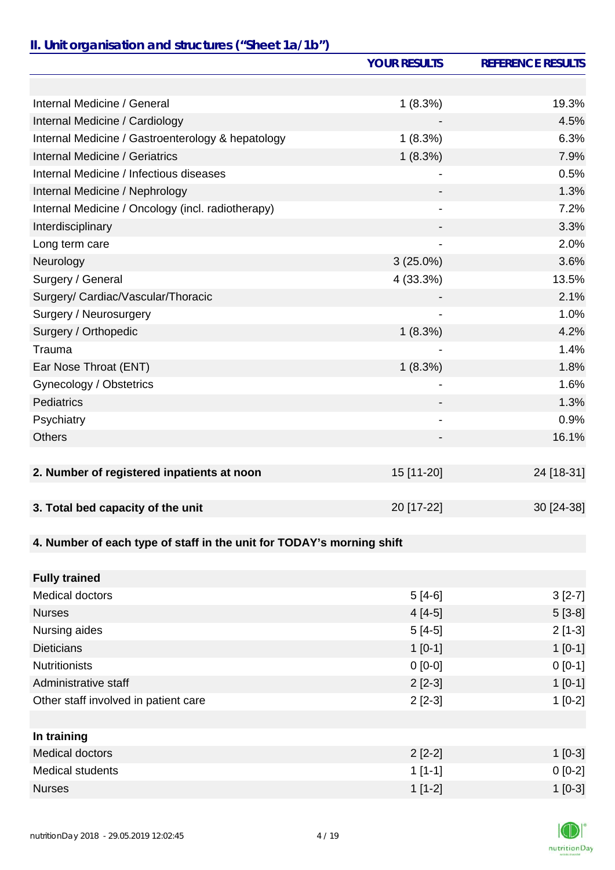# *II. Unit organisation and structures ("Sheet 1a/1b")*

|                                                                       | <b>YOUR RESULTS</b> | <b>REFERENCE RESULTS</b> |
|-----------------------------------------------------------------------|---------------------|--------------------------|
|                                                                       |                     |                          |
| Internal Medicine / General                                           | 1(8.3%)             | 19.3%                    |
| Internal Medicine / Cardiology                                        |                     | 4.5%                     |
| Internal Medicine / Gastroenterology & hepatology                     | 1(8.3%)             | 6.3%                     |
| Internal Medicine / Geriatrics                                        | 1(8.3%)             | 7.9%                     |
| Internal Medicine / Infectious diseases                               |                     | 0.5%                     |
| Internal Medicine / Nephrology                                        |                     | 1.3%                     |
| Internal Medicine / Oncology (incl. radiotherapy)                     |                     | 7.2%                     |
| Interdisciplinary                                                     |                     | 3.3%                     |
| Long term care                                                        |                     | 2.0%                     |
| Neurology                                                             | $3(25.0\%)$         | 3.6%                     |
| Surgery / General                                                     | 4 (33.3%)           | 13.5%                    |
| Surgery/ Cardiac/Vascular/Thoracic                                    |                     | 2.1%                     |
| Surgery / Neurosurgery                                                |                     | 1.0%                     |
| Surgery / Orthopedic                                                  | 1(8.3%)             | 4.2%                     |
| Trauma                                                                |                     | 1.4%                     |
| Ear Nose Throat (ENT)                                                 | 1(8.3%)             | 1.8%                     |
| Gynecology / Obstetrics                                               |                     | 1.6%                     |
| Pediatrics                                                            |                     | 1.3%                     |
| Psychiatry                                                            |                     | 0.9%                     |
| <b>Others</b>                                                         |                     | 16.1%                    |
|                                                                       |                     |                          |
| 2. Number of registered inpatients at noon                            | 15 [11-20]          | 24 [18-31]               |
|                                                                       |                     |                          |
| 3. Total bed capacity of the unit                                     | 20 [17-22]          | 30 [24-38]               |
|                                                                       |                     |                          |
| 4. Number of each type of staff in the unit for TODAY's morning shift |                     |                          |
|                                                                       |                     |                          |
| <b>Fully trained</b>                                                  |                     |                          |
| <b>Medical doctors</b>                                                | $5[4-6]$            | $3[2-7]$                 |
| <b>Nurses</b>                                                         | $4[4-5]$            | $5[3-8]$                 |
| Nursing aides                                                         | $5[4-5]$            | $2[1-3]$                 |
| <b>Dieticians</b>                                                     | $1[0-1]$            | $1[0-1]$                 |
| <b>Nutritionists</b>                                                  | $0[0-0]$            | $0 [0-1]$                |
| Administrative staff                                                  | $2[2-3]$            | $1[0-1]$                 |
| Other staff involved in patient care                                  | $2[2-3]$            | $1[0-2]$                 |
|                                                                       |                     |                          |
| In training                                                           |                     |                          |
| <b>Medical doctors</b>                                                | $2[2-2]$            | $1[0-3]$                 |
| <b>Medical students</b>                                               | $1[1-1]$            | $0[0-2]$                 |
| <b>Nurses</b>                                                         | $1[1-2]$            | $1[0-3]$                 |

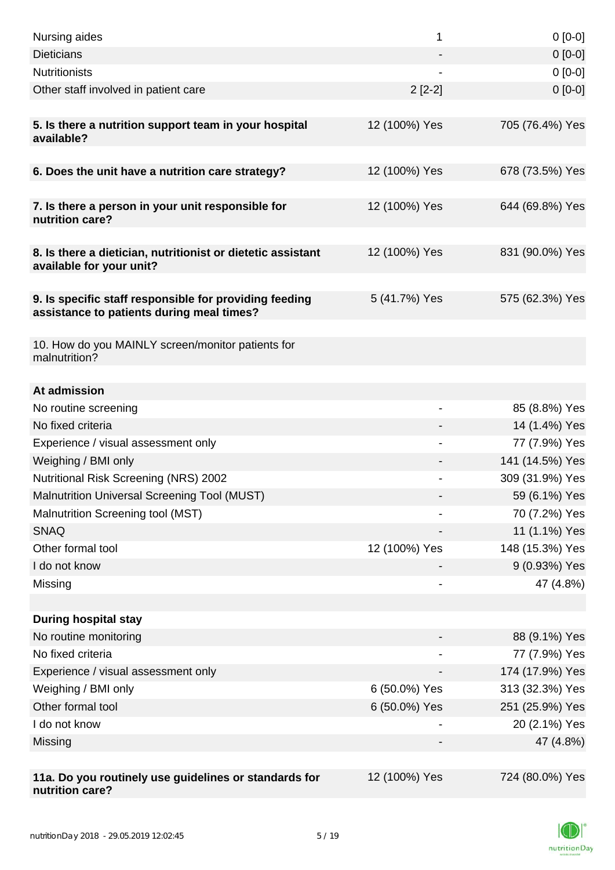| Nursing aides                                                                                       | 1             | $0[0-0]$        |
|-----------------------------------------------------------------------------------------------------|---------------|-----------------|
| <b>Dieticians</b>                                                                                   |               | $0[0-0]$        |
| <b>Nutritionists</b>                                                                                |               | $0[0-0]$        |
| Other staff involved in patient care                                                                | $2[2-2]$      | $0 [0-0]$       |
| 5. Is there a nutrition support team in your hospital<br>available?                                 | 12 (100%) Yes | 705 (76.4%) Yes |
| 6. Does the unit have a nutrition care strategy?                                                    | 12 (100%) Yes | 678 (73.5%) Yes |
| 7. Is there a person in your unit responsible for<br>nutrition care?                                | 12 (100%) Yes | 644 (69.8%) Yes |
| 8. Is there a dietician, nutritionist or dietetic assistant<br>available for your unit?             | 12 (100%) Yes | 831 (90.0%) Yes |
| 9. Is specific staff responsible for providing feeding<br>assistance to patients during meal times? | 5 (41.7%) Yes | 575 (62.3%) Yes |
| 10. How do you MAINLY screen/monitor patients for<br>malnutrition?                                  |               |                 |
| At admission                                                                                        |               |                 |
| No routine screening                                                                                |               | 85 (8.8%) Yes   |
| No fixed criteria                                                                                   |               | 14 (1.4%) Yes   |
| Experience / visual assessment only                                                                 |               | 77 (7.9%) Yes   |
| Weighing / BMI only                                                                                 |               | 141 (14.5%) Yes |
| <b>Nutritional Risk Screening (NRS) 2002</b>                                                        |               | 309 (31.9%) Yes |
| <b>Malnutrition Universal Screening Tool (MUST)</b>                                                 |               | 59 (6.1%) Yes   |
| Malnutrition Screening tool (MST)                                                                   |               | 70 (7.2%) Yes   |
| <b>SNAQ</b>                                                                                         |               | 11 (1.1%) Yes   |
| Other formal tool                                                                                   | 12 (100%) Yes | 148 (15.3%) Yes |
| I do not know                                                                                       |               | 9 (0.93%) Yes   |
| Missing                                                                                             |               | 47 (4.8%)       |
| <b>During hospital stay</b>                                                                         |               |                 |
| No routine monitoring                                                                               |               | 88 (9.1%) Yes   |
| No fixed criteria                                                                                   |               | 77 (7.9%) Yes   |
| Experience / visual assessment only                                                                 |               | 174 (17.9%) Yes |
| Weighing / BMI only                                                                                 | 6 (50.0%) Yes | 313 (32.3%) Yes |
| Other formal tool                                                                                   | 6 (50.0%) Yes | 251 (25.9%) Yes |
| I do not know                                                                                       |               | 20 (2.1%) Yes   |
| Missing                                                                                             |               | 47 (4.8%)       |
| 11a. Do you routinely use guidelines or standards for<br>nutrition care?                            | 12 (100%) Yes | 724 (80.0%) Yes |

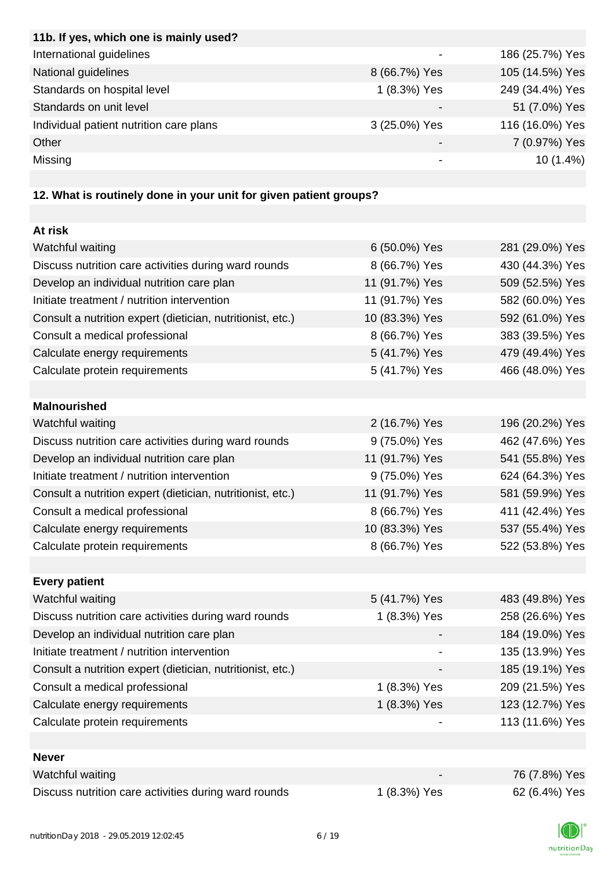| 11b. If yes, which one is mainly used?  |               |                 |
|-----------------------------------------|---------------|-----------------|
| International guidelines                |               | 186 (25.7%) Yes |
| National guidelines                     | 8 (66.7%) Yes | 105 (14.5%) Yes |
| Standards on hospital level             | 1 (8.3%) Yes  | 249 (34.4%) Yes |
| Standards on unit level                 |               | 51 (7.0%) Yes   |
| Individual patient nutrition care plans | 3 (25.0%) Yes | 116 (16.0%) Yes |
| Other                                   |               | 7 (0.97%) Yes   |
| Missing                                 |               | $10(1.4\%)$     |
|                                         |               |                 |

# **12. What is routinely done in your unit for given patient groups?**

| At risk                                                    |                |                 |
|------------------------------------------------------------|----------------|-----------------|
| Watchful waiting                                           | 6 (50.0%) Yes  | 281 (29.0%) Yes |
| Discuss nutrition care activities during ward rounds       | 8 (66.7%) Yes  | 430 (44.3%) Yes |
| Develop an individual nutrition care plan                  | 11 (91.7%) Yes | 509 (52.5%) Yes |
| Initiate treatment / nutrition intervention                | 11 (91.7%) Yes | 582 (60.0%) Yes |
| Consult a nutrition expert (dietician, nutritionist, etc.) | 10 (83.3%) Yes | 592 (61.0%) Yes |
| Consult a medical professional                             | 8 (66.7%) Yes  | 383 (39.5%) Yes |
| Calculate energy requirements                              | 5 (41.7%) Yes  | 479 (49.4%) Yes |
| Calculate protein requirements                             | 5 (41.7%) Yes  | 466 (48.0%) Yes |
|                                                            |                |                 |
| <b>Malnourished</b>                                        |                |                 |
| Watchful waiting                                           | 2 (16.7%) Yes  | 196 (20.2%) Yes |
| Discuss nutrition care activities during ward rounds       | 9 (75.0%) Yes  | 462 (47.6%) Yes |
| Develop an individual nutrition care plan                  | 11 (91.7%) Yes | 541 (55.8%) Yes |
| Initiate treatment / nutrition intervention                | 9 (75.0%) Yes  | 624 (64.3%) Yes |
| Consult a nutrition expert (dietician, nutritionist, etc.) | 11 (91.7%) Yes | 581 (59.9%) Yes |
| Consult a medical professional                             | 8 (66.7%) Yes  | 411 (42.4%) Yes |
| Calculate energy requirements                              | 10 (83.3%) Yes | 537 (55.4%) Yes |
| Calculate protein requirements                             | 8 (66.7%) Yes  | 522 (53.8%) Yes |
|                                                            |                |                 |
| <b>Every patient</b>                                       |                |                 |
| Watchful waiting                                           | 5 (41.7%) Yes  | 483 (49.8%) Yes |
| Discuss nutrition care activities during ward rounds       | 1 (8.3%) Yes   | 258 (26.6%) Yes |
| Develop an individual nutrition care plan                  |                | 184 (19.0%) Yes |
| Initiate treatment / nutrition intervention                |                | 135 (13.9%) Yes |
| Consult a nutrition expert (dietician, nutritionist, etc.) |                | 185 (19.1%) Yes |
| Consult a medical professional                             | 1 (8.3%) Yes   | 209 (21.5%) Yes |
| Calculate energy requirements                              | 1 (8.3%) Yes   | 123 (12.7%) Yes |
| Calculate protein requirements                             |                | 113 (11.6%) Yes |
|                                                            |                |                 |
| <b>Never</b>                                               |                |                 |
| Watchful waiting                                           |                | 76 (7.8%) Yes   |
| Discuss nutrition care activities during ward rounds       | 1 (8.3%) Yes   | 62 (6.4%) Yes   |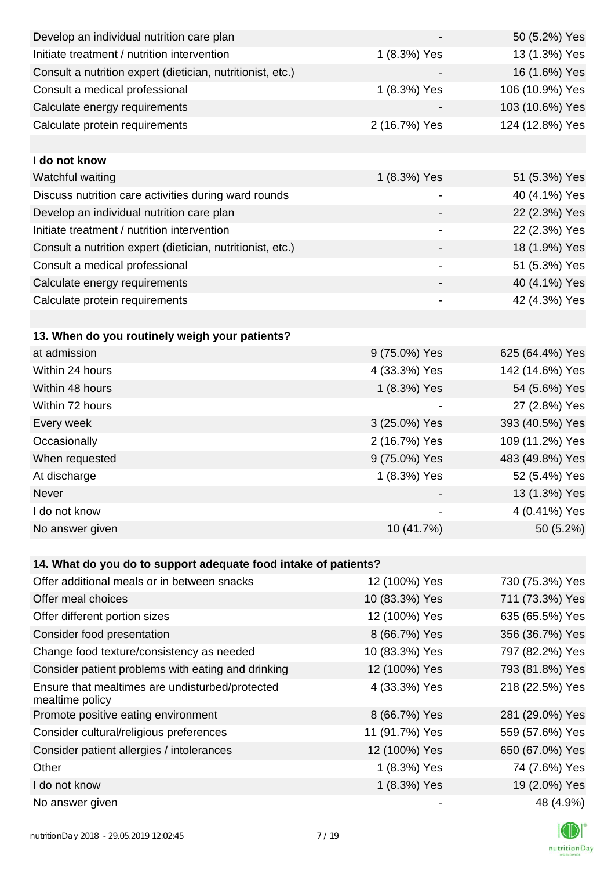| Develop an individual nutrition care plan                          |                          | 50 (5.2%) Yes   |
|--------------------------------------------------------------------|--------------------------|-----------------|
| Initiate treatment / nutrition intervention                        | 1 (8.3%) Yes             | 13 (1.3%) Yes   |
| Consult a nutrition expert (dietician, nutritionist, etc.)         |                          | 16 (1.6%) Yes   |
| Consult a medical professional                                     | 1 (8.3%) Yes             | 106 (10.9%) Yes |
| Calculate energy requirements                                      |                          | 103 (10.6%) Yes |
| Calculate protein requirements                                     | 2 (16.7%) Yes            | 124 (12.8%) Yes |
|                                                                    |                          |                 |
| I do not know                                                      |                          |                 |
| Watchful waiting                                                   | 1 (8.3%) Yes             | 51 (5.3%) Yes   |
| Discuss nutrition care activities during ward rounds               |                          | 40 (4.1%) Yes   |
| Develop an individual nutrition care plan                          | $\overline{\phantom{a}}$ | 22 (2.3%) Yes   |
| Initiate treatment / nutrition intervention                        | $\overline{\phantom{a}}$ | 22 (2.3%) Yes   |
| Consult a nutrition expert (dietician, nutritionist, etc.)         |                          | 18 (1.9%) Yes   |
| Consult a medical professional                                     |                          | 51 (5.3%) Yes   |
| Calculate energy requirements                                      |                          | 40 (4.1%) Yes   |
| Calculate protein requirements                                     | -                        | 42 (4.3%) Yes   |
|                                                                    |                          |                 |
| 13. When do you routinely weigh your patients?                     |                          |                 |
| at admission                                                       | 9 (75.0%) Yes            | 625 (64.4%) Yes |
| Within 24 hours                                                    | 4 (33.3%) Yes            | 142 (14.6%) Yes |
| Within 48 hours                                                    | 1 (8.3%) Yes             | 54 (5.6%) Yes   |
| Within 72 hours                                                    |                          | 27 (2.8%) Yes   |
| Every week                                                         | 3 (25.0%) Yes            | 393 (40.5%) Yes |
| Occasionally                                                       | 2 (16.7%) Yes            | 109 (11.2%) Yes |
| When requested                                                     | 9 (75.0%) Yes            | 483 (49.8%) Yes |
| At discharge                                                       | 1 (8.3%) Yes             | 52 (5.4%) Yes   |
| Never                                                              |                          | 13 (1.3%) Yes   |
| I do not know                                                      |                          | 4 (0.41%) Yes   |
| No answer given                                                    | 10 (41.7%)               | 50 (5.2%)       |
|                                                                    |                          |                 |
| 14. What do you do to support adequate food intake of patients?    |                          |                 |
| Offer additional meals or in between snacks                        | 12 (100%) Yes            | 730 (75.3%) Yes |
| Offer meal choices                                                 | 10 (83.3%) Yes           | 711 (73.3%) Yes |
| Offer different portion sizes                                      | 12 (100%) Yes            | 635 (65.5%) Yes |
| Consider food presentation                                         | 8 (66.7%) Yes            | 356 (36.7%) Yes |
| Change food texture/consistency as needed                          | 10 (83.3%) Yes           | 797 (82.2%) Yes |
| Consider patient problems with eating and drinking                 | 12 (100%) Yes            | 793 (81.8%) Yes |
| Ensure that mealtimes are undisturbed/protected<br>mealtime policy | 4 (33.3%) Yes            | 218 (22.5%) Yes |
| Promote positive eating environment                                | 8 (66.7%) Yes            | 281 (29.0%) Yes |
| Consider cultural/religious preferences                            | 11 (91.7%) Yes           | 559 (57.6%) Yes |
| Consider patient allergies / intolerances                          | 12 (100%) Yes            | 650 (67.0%) Yes |
| Other                                                              | 1 (8.3%) Yes             | 74 (7.6%) Yes   |
| I do not know                                                      | 1 (8.3%) Yes             | 19 (2.0%) Yes   |
| No answer given                                                    |                          | 48 (4.9%)       |

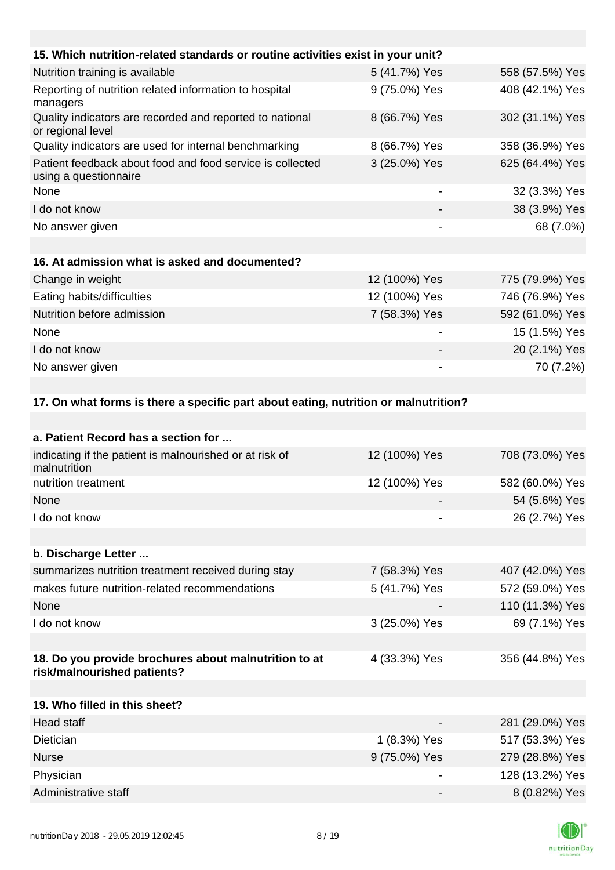| 15. Which nutrition-related standards or routine activities exist in your unit?     |                          |                 |
|-------------------------------------------------------------------------------------|--------------------------|-----------------|
| Nutrition training is available                                                     | 5 (41.7%) Yes            | 558 (57.5%) Yes |
| Reporting of nutrition related information to hospital<br>managers                  | 9 (75.0%) Yes            | 408 (42.1%) Yes |
| Quality indicators are recorded and reported to national<br>or regional level       | 8 (66.7%) Yes            | 302 (31.1%) Yes |
| Quality indicators are used for internal benchmarking                               | 8 (66.7%) Yes            | 358 (36.9%) Yes |
| Patient feedback about food and food service is collected<br>using a questionnaire  | 3 (25.0%) Yes            | 625 (64.4%) Yes |
| None                                                                                | $\overline{\phantom{a}}$ | 32 (3.3%) Yes   |
| I do not know                                                                       |                          | 38 (3.9%) Yes   |
| No answer given                                                                     |                          | 68 (7.0%)       |
|                                                                                     |                          |                 |
| 16. At admission what is asked and documented?                                      |                          |                 |
| Change in weight                                                                    | 12 (100%) Yes            | 775 (79.9%) Yes |
| Eating habits/difficulties                                                          | 12 (100%) Yes            | 746 (76.9%) Yes |
| Nutrition before admission                                                          | 7 (58.3%) Yes            | 592 (61.0%) Yes |
| None                                                                                |                          | 15 (1.5%) Yes   |
| I do not know                                                                       |                          | 20 (2.1%) Yes   |
| No answer given                                                                     |                          | 70 (7.2%)       |
|                                                                                     |                          |                 |
| 17. On what forms is there a specific part about eating, nutrition or malnutrition? |                          |                 |

| a. Patient Record has a section for                                                  |               |                 |
|--------------------------------------------------------------------------------------|---------------|-----------------|
| indicating if the patient is malnourished or at risk of<br>malnutrition              | 12 (100%) Yes | 708 (73.0%) Yes |
| nutrition treatment                                                                  | 12 (100%) Yes | 582 (60.0%) Yes |
| <b>None</b>                                                                          |               | 54 (5.6%) Yes   |
| I do not know                                                                        |               | 26 (2.7%) Yes   |
|                                                                                      |               |                 |
| b. Discharge Letter                                                                  |               |                 |
| summarizes nutrition treatment received during stay                                  | 7 (58.3%) Yes | 407 (42.0%) Yes |
| makes future nutrition-related recommendations                                       | 5 (41.7%) Yes | 572 (59.0%) Yes |
| None                                                                                 |               | 110 (11.3%) Yes |
| I do not know                                                                        | 3 (25.0%) Yes | 69 (7.1%) Yes   |
|                                                                                      |               |                 |
| 18. Do you provide brochures about malnutrition to at<br>risk/malnourished patients? | 4 (33.3%) Yes | 356 (44.8%) Yes |
|                                                                                      |               |                 |
| 19. Who filled in this sheet?                                                        |               |                 |
| <b>Head staff</b>                                                                    |               | 281 (29.0%) Yes |
| Dietician                                                                            | 1 (8.3%) Yes  | 517 (53.3%) Yes |
| <b>Nurse</b>                                                                         | 9 (75.0%) Yes | 279 (28.8%) Yes |
| Physician                                                                            |               | 128 (13.2%) Yes |
| Administrative staff                                                                 |               | 8 (0.82%) Yes   |

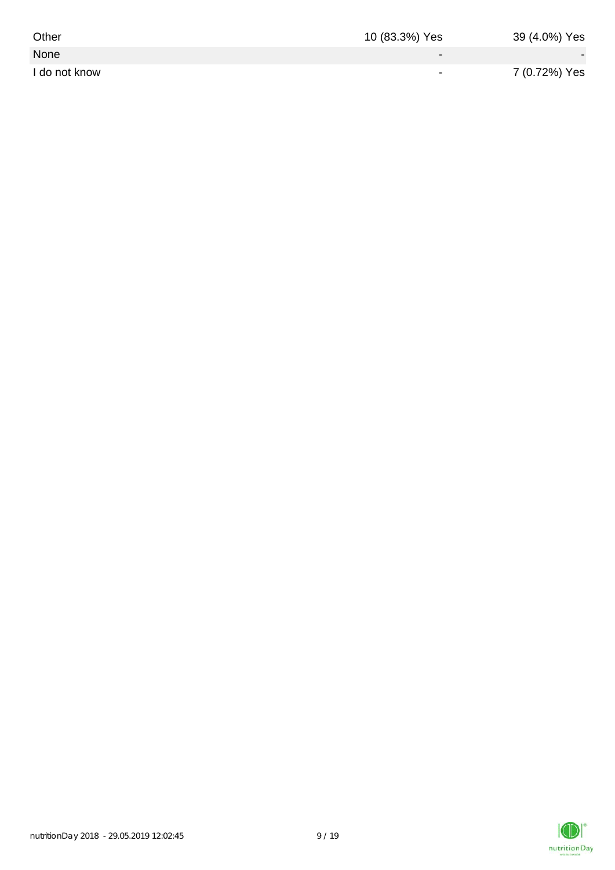| Other         | 10 (83.3%) Yes           | 39 (4.0%) Yes |
|---------------|--------------------------|---------------|
| None          | $\overline{\phantom{0}}$ |               |
| I do not know | $\overline{\phantom{0}}$ | 7 (0.72%) Yes |

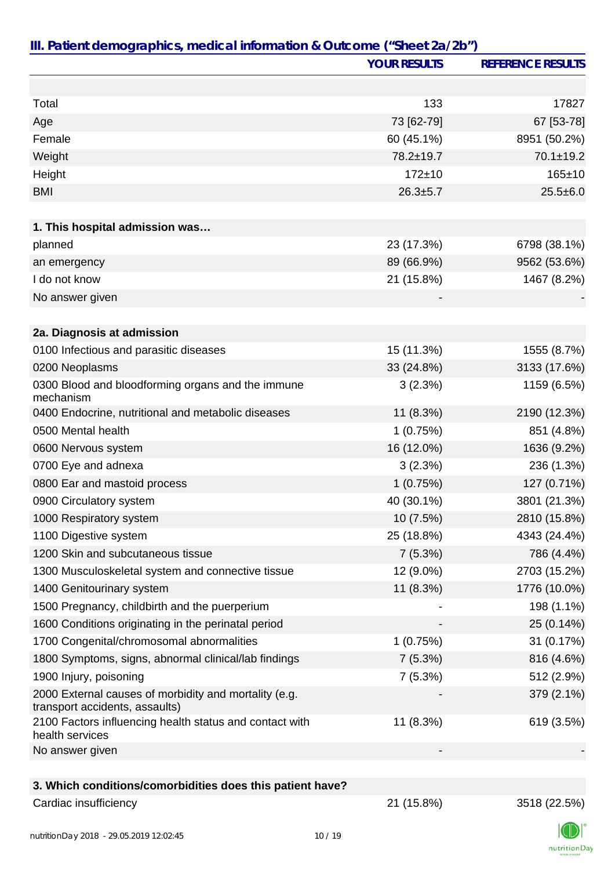|                                                                                         | <b>YOUR RESULTS</b> | <b>REFERENCE RESULTS</b> |
|-----------------------------------------------------------------------------------------|---------------------|--------------------------|
|                                                                                         |                     |                          |
| Total                                                                                   | 133                 | 17827                    |
| Age                                                                                     | 73 [62-79]          | 67 [53-78]               |
| Female                                                                                  | 60 (45.1%)          | 8951 (50.2%)             |
| Weight                                                                                  | 78.2±19.7           | 70.1±19.2                |
| Height                                                                                  | $172 + 10$          | 165±10                   |
| <b>BMI</b>                                                                              | $26.3 + 5.7$        | $25.5 \pm 6.0$           |
|                                                                                         |                     |                          |
| 1. This hospital admission was                                                          |                     |                          |
| planned                                                                                 | 23 (17.3%)          | 6798 (38.1%)             |
| an emergency                                                                            | 89 (66.9%)          | 9562 (53.6%)             |
| I do not know                                                                           | 21 (15.8%)          | 1467 (8.2%)              |
| No answer given                                                                         |                     |                          |
|                                                                                         |                     |                          |
| 2a. Diagnosis at admission                                                              |                     |                          |
| 0100 Infectious and parasitic diseases                                                  | 15 (11.3%)          | 1555 (8.7%)              |
| 0200 Neoplasms                                                                          | 33 (24.8%)          | 3133 (17.6%)             |
| 0300 Blood and bloodforming organs and the immune<br>mechanism                          | 3(2.3%)             | 1159 (6.5%)              |
| 0400 Endocrine, nutritional and metabolic diseases                                      | 11 (8.3%)           | 2190 (12.3%)             |
| 0500 Mental health                                                                      | 1(0.75%)            | 851 (4.8%)               |
| 0600 Nervous system                                                                     | 16 (12.0%)          | 1636 (9.2%)              |
| 0700 Eye and adnexa                                                                     | 3(2.3%)             | 236 (1.3%)               |
| 0800 Ear and mastoid process                                                            | 1(0.75%)            | 127 (0.71%)              |
| 0900 Circulatory system                                                                 | 40 (30.1%)          | 3801 (21.3%)             |
| 1000 Respiratory system                                                                 | 10 (7.5%)           | 2810 (15.8%)             |
| 1100 Digestive system                                                                   | 25 (18.8%)          | 4343 (24.4%)             |
| 1200 Skin and subcutaneous tissue                                                       | 7(5.3%)             | 786 (4.4%)               |
| 1300 Musculoskeletal system and connective tissue                                       | 12 (9.0%)           | 2703 (15.2%)             |
| 1400 Genitourinary system                                                               | 11 (8.3%)           | 1776 (10.0%)             |
| 1500 Pregnancy, childbirth and the puerperium                                           |                     | 198 (1.1%)               |
| 1600 Conditions originating in the perinatal period                                     |                     | 25 (0.14%)               |
| 1700 Congenital/chromosomal abnormalities                                               | 1(0.75%)            | 31 (0.17%)               |
| 1800 Symptoms, signs, abnormal clinical/lab findings                                    | 7(5.3%)             | 816 (4.6%)               |
| 1900 Injury, poisoning                                                                  | 7(5.3%)             | 512 (2.9%)               |
| 2000 External causes of morbidity and mortality (e.g.<br>transport accidents, assaults) |                     | 379 (2.1%)               |
| 2100 Factors influencing health status and contact with<br>health services              | 11 (8.3%)           | 619 (3.5%)               |
| No answer given                                                                         |                     |                          |
|                                                                                         |                     |                          |
| 3. Which conditions/comorbidities does this patient have?                               |                     |                          |
| Cardiac insufficiency                                                                   | 21 (15.8%)          | 3518 (22.5%)             |

nutritionDay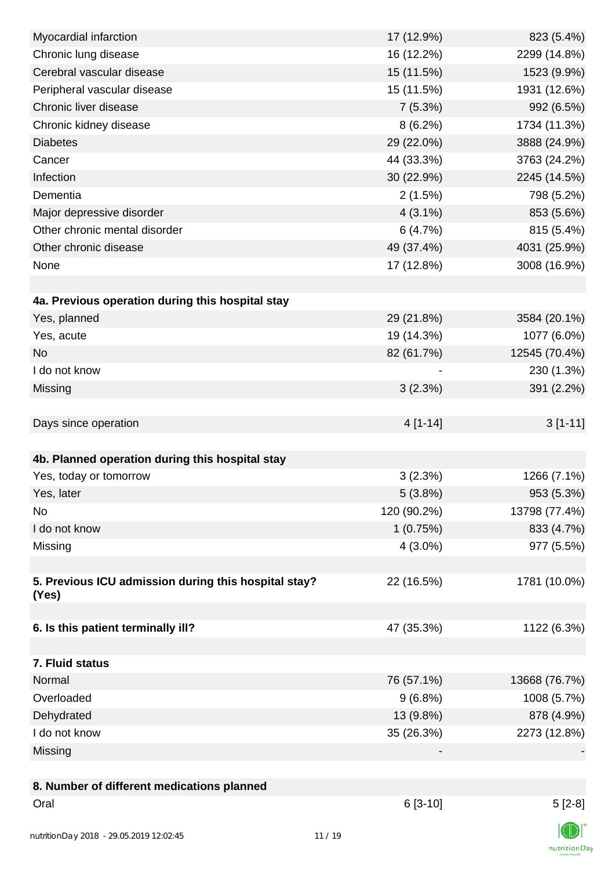| Myocardial infarction                                | 17 (12.9%)  | 823 (5.4%)    |
|------------------------------------------------------|-------------|---------------|
| Chronic lung disease                                 | 16 (12.2%)  | 2299 (14.8%)  |
| Cerebral vascular disease                            | 15 (11.5%)  | 1523 (9.9%)   |
| Peripheral vascular disease                          | 15 (11.5%)  | 1931 (12.6%)  |
| Chronic liver disease                                | 7(5.3%)     | 992 (6.5%)    |
| Chronic kidney disease                               | $8(6.2\%)$  | 1734 (11.3%)  |
| <b>Diabetes</b>                                      | 29 (22.0%)  | 3888 (24.9%)  |
| Cancer                                               | 44 (33.3%)  | 3763 (24.2%)  |
| Infection                                            | 30 (22.9%)  | 2245 (14.5%)  |
| Dementia                                             | 2(1.5%)     | 798 (5.2%)    |
| Major depressive disorder                            | $4(3.1\%)$  | 853 (5.6%)    |
| Other chronic mental disorder                        | 6(4.7%)     | 815 (5.4%)    |
| Other chronic disease                                | 49 (37.4%)  | 4031 (25.9%)  |
| None                                                 | 17 (12.8%)  | 3008 (16.9%)  |
|                                                      |             |               |
| 4a. Previous operation during this hospital stay     |             |               |
| Yes, planned                                         | 29 (21.8%)  | 3584 (20.1%)  |
| Yes, acute                                           | 19 (14.3%)  | 1077 (6.0%)   |
| <b>No</b>                                            | 82 (61.7%)  | 12545 (70.4%) |
| I do not know                                        |             | 230 (1.3%)    |
| Missing                                              | 3(2.3%)     | 391 (2.2%)    |
|                                                      |             |               |
| Days since operation                                 | $4[1-14]$   | $3[1-11]$     |
|                                                      |             |               |
| 4b. Planned operation during this hospital stay      |             |               |
| Yes, today or tomorrow                               | 3(2.3%)     | 1266 (7.1%)   |
| Yes, later                                           | 5(3.8%)     | 953 (5.3%)    |
| No                                                   | 120 (90.2%) | 13798 (77.4%) |
| I do not know                                        | 1(0.75%)    | 833 (4.7%)    |
| Missing                                              | $4(3.0\%)$  | 977 (5.5%)    |
|                                                      |             |               |
| 5. Previous ICU admission during this hospital stay? | 22 (16.5%)  | 1781 (10.0%)  |
| (Yes)                                                |             |               |
|                                                      |             |               |
| 6. Is this patient terminally ill?                   | 47 (35.3%)  | 1122 (6.3%)   |
|                                                      |             |               |
| 7. Fluid status                                      |             |               |
| Normal                                               | 76 (57.1%)  | 13668 (76.7%) |
| Overloaded                                           | $9(6.8\%)$  | 1008 (5.7%)   |
| Dehydrated                                           | 13 (9.8%)   | 878 (4.9%)    |
| I do not know                                        | 35 (26.3%)  | 2273 (12.8%)  |
| Missing                                              |             |               |
|                                                      |             |               |
| 8. Number of different medications planned           |             |               |
| Oral                                                 | $6[3-10]$   | $5[2-8]$      |
|                                                      |             |               |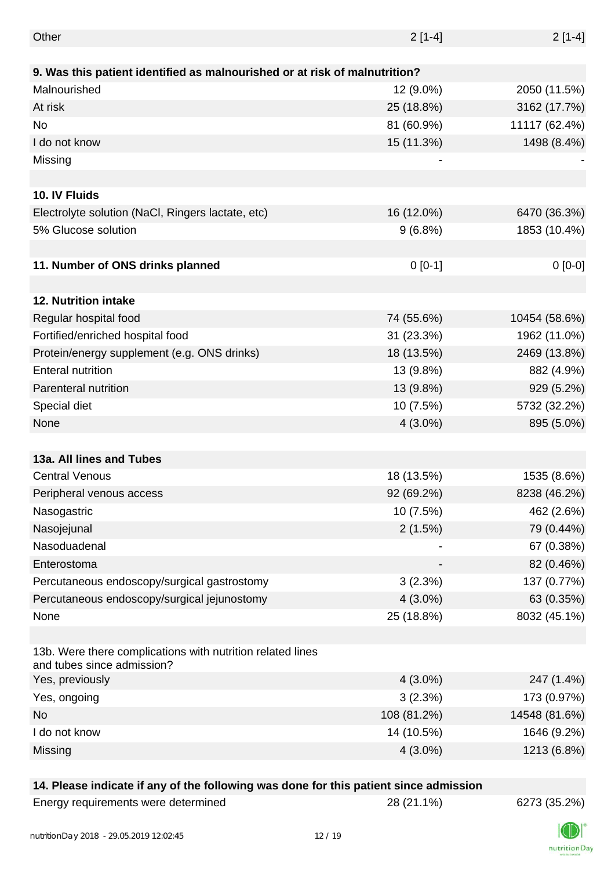| Other                                                                                    | $2[1-4]$    | $2[1-4]$      |
|------------------------------------------------------------------------------------------|-------------|---------------|
|                                                                                          |             |               |
| 9. Was this patient identified as malnourished or at risk of malnutrition?               |             |               |
| Malnourished                                                                             | 12 (9.0%)   | 2050 (11.5%)  |
| At risk                                                                                  | 25 (18.8%)  | 3162 (17.7%)  |
| No                                                                                       | 81 (60.9%)  | 11117 (62.4%) |
| I do not know                                                                            | 15 (11.3%)  | 1498 (8.4%)   |
| Missing                                                                                  |             |               |
|                                                                                          |             |               |
| 10. IV Fluids                                                                            |             |               |
| Electrolyte solution (NaCl, Ringers lactate, etc)                                        | 16 (12.0%)  | 6470 (36.3%)  |
| 5% Glucose solution                                                                      | $9(6.8\%)$  | 1853 (10.4%)  |
|                                                                                          |             |               |
| 11. Number of ONS drinks planned                                                         | $0[0-1]$    | $0[0-0]$      |
|                                                                                          |             |               |
| 12. Nutrition intake                                                                     |             |               |
| Regular hospital food                                                                    | 74 (55.6%)  | 10454 (58.6%) |
| Fortified/enriched hospital food                                                         | 31 (23.3%)  | 1962 (11.0%)  |
| Protein/energy supplement (e.g. ONS drinks)                                              | 18 (13.5%)  | 2469 (13.8%)  |
| <b>Enteral nutrition</b>                                                                 | 13 (9.8%)   | 882 (4.9%)    |
| Parenteral nutrition                                                                     | 13 (9.8%)   | 929 (5.2%)    |
| Special diet                                                                             | 10 (7.5%)   | 5732 (32.2%)  |
| None                                                                                     | $4(3.0\%)$  | 895 (5.0%)    |
|                                                                                          |             |               |
| 13a. All lines and Tubes                                                                 |             |               |
| <b>Central Venous</b>                                                                    | 18 (13.5%)  | 1535 (8.6%)   |
| Peripheral venous access                                                                 | 92 (69.2%)  | 8238 (46.2%)  |
| Nasogastric                                                                              | 10 (7.5%)   | 462 (2.6%)    |
| Nasojejunal                                                                              | 2(1.5%)     | 79 (0.44%)    |
| Nasoduadenal                                                                             |             | 67 (0.38%)    |
| Enterostoma                                                                              |             | 82 (0.46%)    |
| Percutaneous endoscopy/surgical gastrostomy                                              | 3(2.3%)     | 137 (0.77%)   |
| Percutaneous endoscopy/surgical jejunostomy                                              | $4(3.0\%)$  | 63 (0.35%)    |
| None                                                                                     | 25 (18.8%)  | 8032 (45.1%)  |
|                                                                                          |             |               |
| 13b. Were there complications with nutrition related lines<br>and tubes since admission? |             |               |
| Yes, previously                                                                          | $4(3.0\%)$  | 247 (1.4%)    |
| Yes, ongoing                                                                             | 3(2.3%)     | 173 (0.97%)   |
| No                                                                                       | 108 (81.2%) | 14548 (81.6%) |
| I do not know                                                                            | 14 (10.5%)  | 1646 (9.2%)   |
| Missing                                                                                  | $4(3.0\%)$  | 1213 (6.8%)   |
|                                                                                          |             |               |

#### **14. Please indicate if any of the following was done for this patient since admission**

| Energy requirements were determined |  |
|-------------------------------------|--|
|-------------------------------------|--|

Energy requirements were determined 28 (21.1%) 6273 (35.2%)

nutritionDay

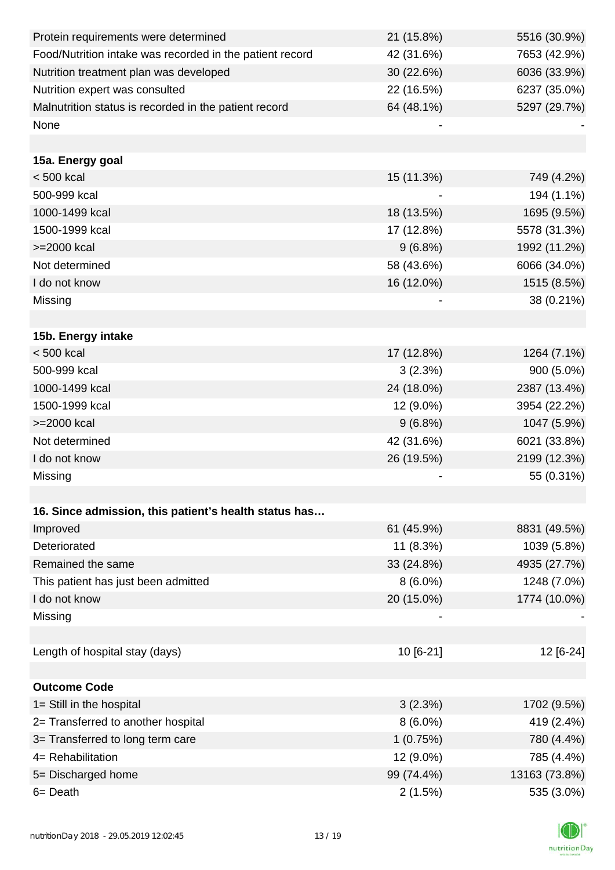| Protein requirements were determined                     | 21 (15.8%) | 5516 (30.9%)  |
|----------------------------------------------------------|------------|---------------|
| Food/Nutrition intake was recorded in the patient record | 42 (31.6%) | 7653 (42.9%)  |
| Nutrition treatment plan was developed                   | 30 (22.6%) | 6036 (33.9%)  |
| Nutrition expert was consulted                           | 22 (16.5%) | 6237 (35.0%)  |
| Malnutrition status is recorded in the patient record    | 64 (48.1%) | 5297 (29.7%)  |
| None                                                     |            |               |
|                                                          |            |               |
| 15a. Energy goal                                         |            |               |
| $< 500$ kcal                                             | 15 (11.3%) | 749 (4.2%)    |
| 500-999 kcal                                             |            | 194 (1.1%)    |
| 1000-1499 kcal                                           | 18 (13.5%) | 1695 (9.5%)   |
| 1500-1999 kcal                                           | 17 (12.8%) | 5578 (31.3%)  |
| >=2000 kcal                                              | $9(6.8\%)$ | 1992 (11.2%)  |
| Not determined                                           | 58 (43.6%) | 6066 (34.0%)  |
| I do not know                                            | 16 (12.0%) | 1515 (8.5%)   |
| Missing                                                  |            | 38 (0.21%)    |
|                                                          |            |               |
| 15b. Energy intake                                       |            |               |
| $< 500$ kcal                                             | 17 (12.8%) | 1264 (7.1%)   |
| 500-999 kcal                                             | 3(2.3%)    | 900 (5.0%)    |
| 1000-1499 kcal                                           | 24 (18.0%) | 2387 (13.4%)  |
| 1500-1999 kcal                                           | 12 (9.0%)  | 3954 (22.2%)  |
| >=2000 kcal                                              | $9(6.8\%)$ | 1047 (5.9%)   |
| Not determined                                           | 42 (31.6%) | 6021 (33.8%)  |
| I do not know                                            | 26 (19.5%) | 2199 (12.3%)  |
| Missing                                                  |            | 55 (0.31%)    |
|                                                          |            |               |
| 16. Since admission, this patient's health status has    |            |               |
| Improved                                                 | 61 (45.9%) | 8831 (49.5%)  |
| Deteriorated                                             | 11 (8.3%)  | 1039 (5.8%)   |
| Remained the same                                        | 33 (24.8%) | 4935 (27.7%)  |
| This patient has just been admitted                      | $8(6.0\%)$ | 1248 (7.0%)   |
| I do not know                                            | 20 (15.0%) | 1774 (10.0%)  |
| Missing                                                  |            |               |
|                                                          |            |               |
| Length of hospital stay (days)                           | 10 [6-21]  | 12 [6-24]     |
|                                                          |            |               |
| <b>Outcome Code</b>                                      |            |               |
| 1= Still in the hospital                                 | 3(2.3%)    | 1702 (9.5%)   |
| 2= Transferred to another hospital                       | $8(6.0\%)$ | 419 (2.4%)    |
| 3= Transferred to long term care                         | 1(0.75%)   | 780 (4.4%)    |
| 4= Rehabilitation                                        | 12 (9.0%)  | 785 (4.4%)    |
| 5= Discharged home                                       | 99 (74.4%) | 13163 (73.8%) |
| 6= Death                                                 | 2(1.5%)    | 535 (3.0%)    |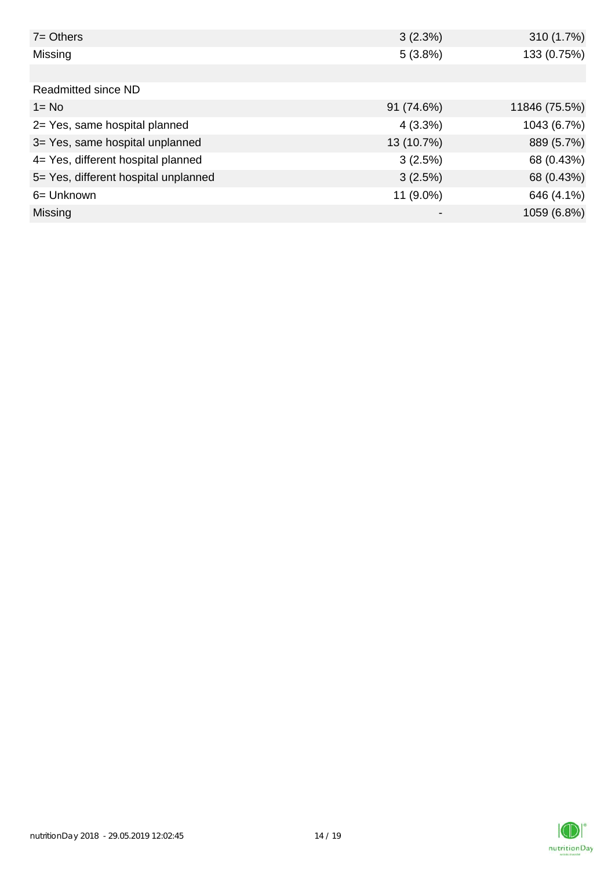| $7 =$ Others                         | 3(2.3%)    | 310 (1.7%)    |
|--------------------------------------|------------|---------------|
| Missing                              | 5(3.8%)    | 133 (0.75%)   |
|                                      |            |               |
| Readmitted since ND                  |            |               |
| $1 = No$                             | 91 (74.6%) | 11846 (75.5%) |
| 2= Yes, same hospital planned        | $4(3.3\%)$ | 1043 (6.7%)   |
| 3= Yes, same hospital unplanned      | 13 (10.7%) | 889 (5.7%)    |
| 4= Yes, different hospital planned   | 3(2.5%)    | 68 (0.43%)    |
| 5= Yes, different hospital unplanned | 3(2.5%)    | 68 (0.43%)    |
| 6= Unknown                           | 11 (9.0%)  | 646 (4.1%)    |
| <b>Missing</b>                       |            | 1059 (6.8%)   |

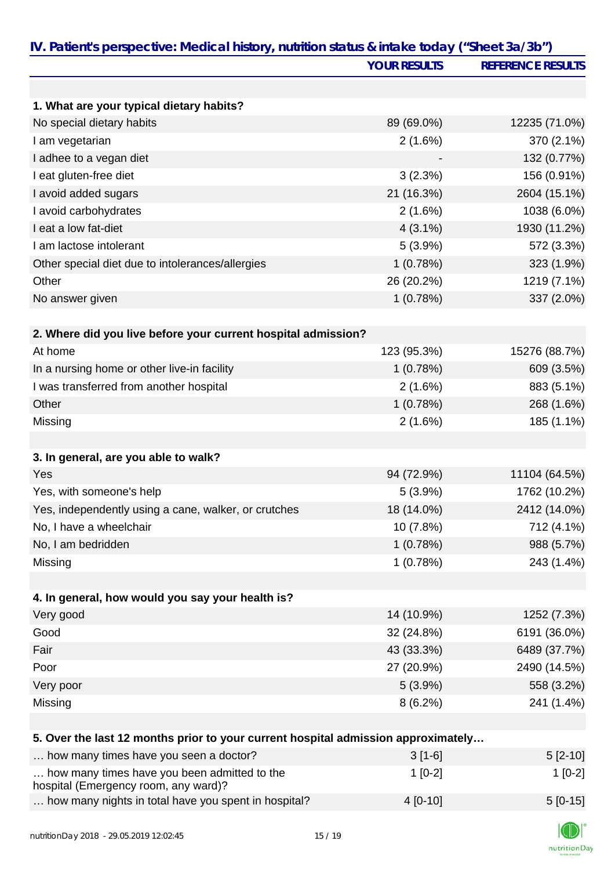|                                                                                      | <b>YOUR RESULTS</b> | <b>REFERENCE RESULTS</b> |
|--------------------------------------------------------------------------------------|---------------------|--------------------------|
|                                                                                      |                     |                          |
| 1. What are your typical dietary habits?                                             |                     |                          |
| No special dietary habits                                                            | 89 (69.0%)          | 12235 (71.0%)            |
| I am vegetarian                                                                      | 2(1.6%)             | 370 (2.1%)               |
| I adhee to a vegan diet                                                              |                     | 132 (0.77%)              |
| I eat gluten-free diet                                                               | 3(2.3%)             | 156 (0.91%)              |
| I avoid added sugars                                                                 | 21 (16.3%)          | 2604 (15.1%)             |
| I avoid carbohydrates                                                                | 2(1.6%)             | 1038 (6.0%)              |
| I eat a low fat-diet                                                                 | $4(3.1\%)$          | 1930 (11.2%)             |
| I am lactose intolerant                                                              | $5(3.9\%)$          | 572 (3.3%)               |
| Other special diet due to intolerances/allergies                                     | 1(0.78%)            | 323 (1.9%)               |
| Other                                                                                | 26 (20.2%)          | 1219 (7.1%)              |
| No answer given                                                                      | 1(0.78%)            | 337 (2.0%)               |
|                                                                                      |                     |                          |
| 2. Where did you live before your current hospital admission?                        |                     |                          |
| At home                                                                              | 123 (95.3%)         | 15276 (88.7%)            |
| In a nursing home or other live-in facility                                          | 1(0.78%)            | 609 (3.5%)               |
| I was transferred from another hospital                                              | 2(1.6%)             | 883 (5.1%)               |
| Other                                                                                | 1(0.78%)            | 268 (1.6%)               |
| Missing                                                                              | 2(1.6%)             | 185 (1.1%)               |
|                                                                                      |                     |                          |
| 3. In general, are you able to walk?                                                 |                     |                          |
| Yes                                                                                  | 94 (72.9%)          | 11104 (64.5%)            |
| Yes, with someone's help                                                             | $5(3.9\%)$          | 1762 (10.2%)             |
| Yes, independently using a cane, walker, or crutches                                 | 18 (14.0%)          | 2412 (14.0%)             |
| No, I have a wheelchair                                                              | 10 (7.8%)           | 712 (4.1%)               |
| No, I am bedridden                                                                   | 1(0.78%)            | 988 (5.7%)               |
| Missing                                                                              | 1(0.78%)            | 243 (1.4%)               |
|                                                                                      |                     |                          |
| 4. In general, how would you say your health is?                                     |                     |                          |
| Very good                                                                            | 14 (10.9%)          | 1252 (7.3%)              |
| Good                                                                                 | 32 (24.8%)          | 6191 (36.0%)             |
| Fair                                                                                 | 43 (33.3%)          | 6489 (37.7%)             |
| Poor                                                                                 | 27 (20.9%)          | 2490 (14.5%)             |
| Very poor                                                                            | $5(3.9\%)$          | 558 (3.2%)               |
| Missing                                                                              | 8(6.2%)             | 241 (1.4%)               |
|                                                                                      |                     |                          |
| 5. Over the last 12 months prior to your current hospital admission approximately    |                     |                          |
| how many times have you seen a doctor?                                               | $3[1-6]$            | $5[2-10]$                |
| how many times have you been admitted to the<br>hospital (Emergency room, any ward)? | $1[0-2]$            | $1[0-2]$                 |
| how many nights in total have you spent in hospital?                                 | 4 [0-10]            | $5[0-15]$                |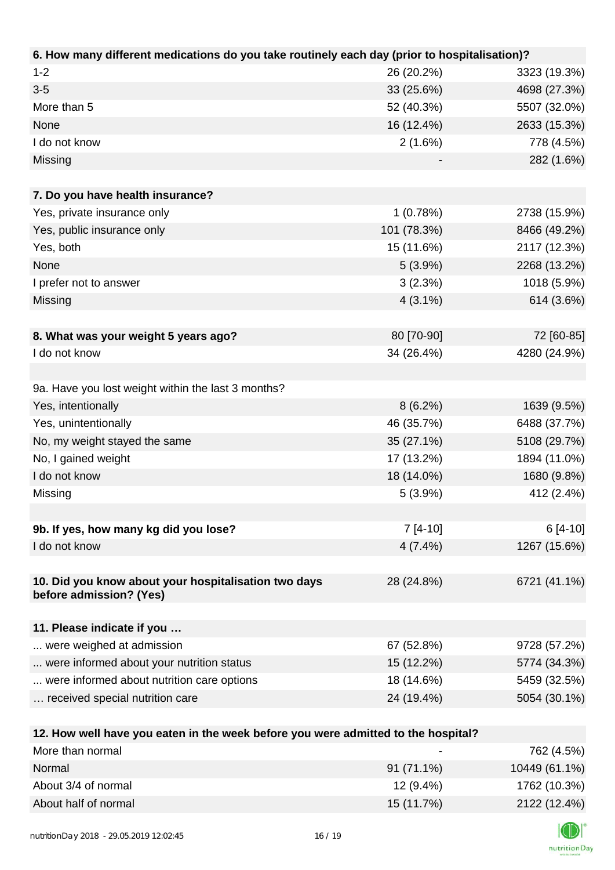| 6. How many different medications do you take routinely each day (prior to hospitalisation)? |             |              |
|----------------------------------------------------------------------------------------------|-------------|--------------|
| $1 - 2$                                                                                      | 26 (20.2%)  | 3323 (19.3%) |
| $3 - 5$                                                                                      | 33 (25.6%)  | 4698 (27.3%) |
| More than 5                                                                                  | 52 (40.3%)  | 5507 (32.0%) |
| None                                                                                         | 16 (12.4%)  | 2633 (15.3%) |
| I do not know                                                                                | 2(1.6%)     | 778 (4.5%)   |
| Missing                                                                                      |             | 282 (1.6%)   |
|                                                                                              |             |              |
| 7. Do you have health insurance?                                                             |             |              |
| Yes, private insurance only                                                                  | 1(0.78%)    | 2738 (15.9%) |
| Yes, public insurance only                                                                   | 101 (78.3%) | 8466 (49.2%) |
| Yes, both                                                                                    | 15 (11.6%)  | 2117 (12.3%) |
| None                                                                                         | $5(3.9\%)$  | 2268 (13.2%) |
| I prefer not to answer                                                                       | 3(2.3%)     | 1018 (5.9%)  |
| Missing                                                                                      | $4(3.1\%)$  | 614 (3.6%)   |
|                                                                                              |             |              |
| 8. What was your weight 5 years ago?                                                         | 80 [70-90]  | 72 [60-85]   |
| I do not know                                                                                | 34 (26.4%)  | 4280 (24.9%) |
|                                                                                              |             |              |
| 9a. Have you lost weight within the last 3 months?                                           |             |              |
| Yes, intentionally                                                                           | $8(6.2\%)$  | 1639 (9.5%)  |
| Yes, unintentionally                                                                         | 46 (35.7%)  | 6488 (37.7%) |
| No, my weight stayed the same                                                                | 35 (27.1%)  | 5108 (29.7%) |
| No, I gained weight                                                                          | 17 (13.2%)  | 1894 (11.0%) |
| I do not know                                                                                | 18 (14.0%)  | 1680 (9.8%)  |
| Missing                                                                                      | $5(3.9\%)$  | 412 (2.4%)   |
|                                                                                              |             |              |
| 9b. If yes, how many kg did you lose?                                                        | $7[4-10]$   | $6[4-10]$    |
| I do not know                                                                                | $4(7.4\%)$  | 1267 (15.6%) |
|                                                                                              |             |              |
| 10. Did you know about your hospitalisation two days                                         | 28 (24.8%)  | 6721 (41.1%) |
| before admission? (Yes)                                                                      |             |              |
|                                                                                              |             |              |
| 11. Please indicate if you                                                                   |             |              |
| were weighed at admission                                                                    | 67 (52.8%)  | 9728 (57.2%) |
| were informed about your nutrition status                                                    | 15 (12.2%)  | 5774 (34.3%) |
| were informed about nutrition care options                                                   | 18 (14.6%)  | 5459 (32.5%) |
| received special nutrition care                                                              | 24 (19.4%)  | 5054 (30.1%) |
|                                                                                              |             |              |
| 12. How well have you eaten in the week before you were admitted to the hospital?            |             |              |

| More than normal     | $\overline{\phantom{0}}$ | 762 (4.5%)    |
|----------------------|--------------------------|---------------|
| Normal               | 91 (71.1%)               | 10449 (61.1%) |
| About 3/4 of normal  | 12 (9.4%)                | 1762 (10.3%)  |
| About half of normal | 15 (11.7%)               | 2122 (12.4%)  |

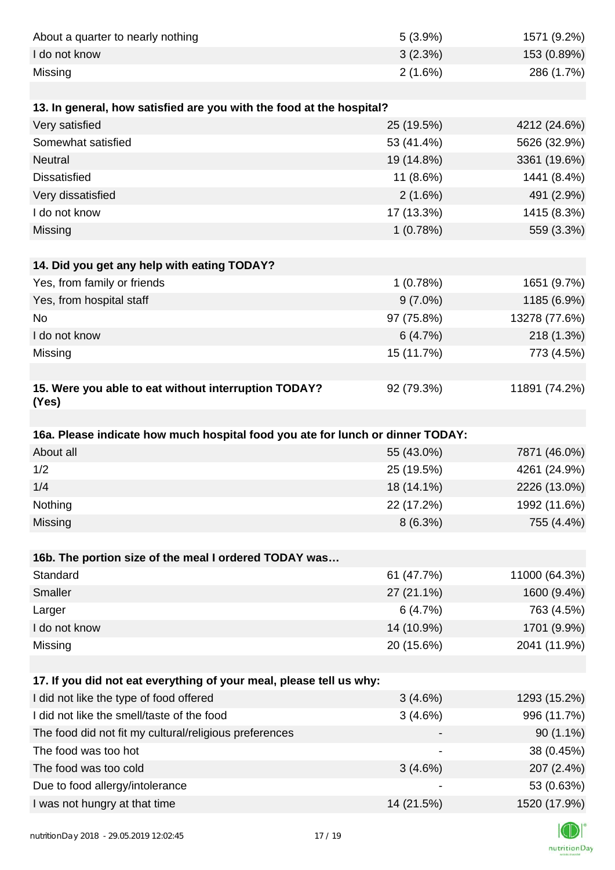| About a quarter to nearly nothing                                              | 5(3.9%)    | 1571 (9.2%)                |
|--------------------------------------------------------------------------------|------------|----------------------------|
| I do not know                                                                  | 3(2.3%)    | 153 (0.89%)                |
| Missing                                                                        | $2(1.6\%)$ | 286 (1.7%)                 |
|                                                                                |            |                            |
| 13. In general, how satisfied are you with the food at the hospital?           |            |                            |
| Very satisfied                                                                 | 25 (19.5%) | 4212 (24.6%)               |
| Somewhat satisfied                                                             | 53 (41.4%) | 5626 (32.9%)               |
| <b>Neutral</b>                                                                 | 19 (14.8%) | 3361 (19.6%)               |
| <b>Dissatisfied</b>                                                            | 11 (8.6%)  | 1441 (8.4%)                |
| Very dissatisfied                                                              | 2(1.6%)    | 491 (2.9%)                 |
| I do not know                                                                  | 17 (13.3%) | 1415 (8.3%)                |
| Missing                                                                        | 1(0.78%)   | 559 (3.3%)                 |
|                                                                                |            |                            |
| 14. Did you get any help with eating TODAY?                                    |            |                            |
| Yes, from family or friends                                                    | 1(0.78%)   | 1651 (9.7%)                |
| Yes, from hospital staff                                                       | $9(7.0\%)$ | 1185 (6.9%)                |
| <b>No</b>                                                                      | 97 (75.8%) | 13278 (77.6%)              |
| I do not know                                                                  | 6(4.7%)    | 218 (1.3%)                 |
| Missing                                                                        | 15 (11.7%) | 773 (4.5%)                 |
|                                                                                |            |                            |
| 15. Were you able to eat without interruption TODAY?<br>(Yes)                  | 92 (79.3%) | 11891 (74.2%)              |
|                                                                                |            |                            |
|                                                                                |            |                            |
| 16a. Please indicate how much hospital food you ate for lunch or dinner TODAY: |            |                            |
| About all                                                                      | 55 (43.0%) | 7871 (46.0%)               |
| 1/2                                                                            | 25 (19.5%) | 4261 (24.9%)               |
| 1/4                                                                            | 18 (14.1%) | 2226 (13.0%)               |
| Nothing                                                                        | 22 (17.2%) | 1992 (11.6%)               |
| Missing                                                                        | 8(6.3%)    | 755 (4.4%)                 |
|                                                                                |            |                            |
| 16b. The portion size of the meal I ordered TODAY was                          |            |                            |
| Standard                                                                       | 61 (47.7%) | 11000 (64.3%)              |
| Smaller                                                                        | 27 (21.1%) | 1600 (9.4%)                |
| Larger                                                                         | 6(4.7%)    | 763 (4.5%)                 |
| I do not know                                                                  | 14 (10.9%) | 1701 (9.9%)                |
| Missing                                                                        | 20 (15.6%) | 2041 (11.9%)               |
|                                                                                |            |                            |
| 17. If you did not eat everything of your meal, please tell us why:            |            |                            |
| I did not like the type of food offered                                        | 3(4.6%)    | 1293 (15.2%)               |
| I did not like the smell/taste of the food                                     | 3(4.6%)    | 996 (11.7%)                |
| The food did not fit my cultural/religious preferences                         |            | $90(1.1\%)$                |
| The food was too hot                                                           |            | 38 (0.45%)                 |
| The food was too cold                                                          | 3(4.6%)    | 207 (2.4%)                 |
| Due to food allergy/intolerance<br>I was not hungry at that time               | 14 (21.5%) | 53 (0.63%)<br>1520 (17.9%) |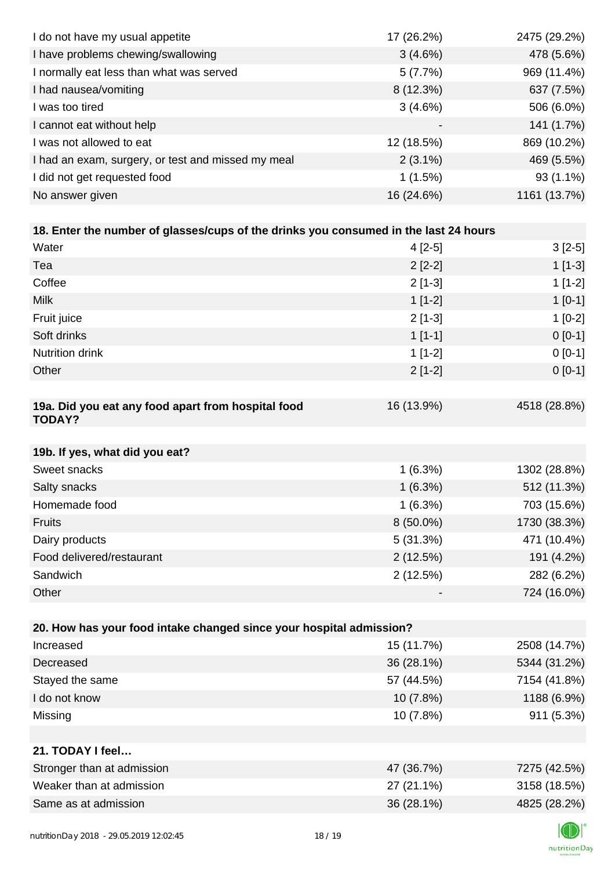| I do not have my usual appetite                                                      | 17 (26.2%) | 2475 (29.2%) |
|--------------------------------------------------------------------------------------|------------|--------------|
| I have problems chewing/swallowing                                                   | 3(4.6%)    | 478 (5.6%)   |
| I normally eat less than what was served                                             | 5(7.7%)    | 969 (11.4%)  |
| I had nausea/vomiting                                                                | 8 (12.3%)  | 637 (7.5%)   |
| I was too tired                                                                      | 3(4.6%)    | 506 (6.0%)   |
| I cannot eat without help                                                            |            | 141 (1.7%)   |
| I was not allowed to eat                                                             | 12 (18.5%) | 869 (10.2%)  |
| I had an exam, surgery, or test and missed my meal                                   | $2(3.1\%)$ | 469 (5.5%)   |
| I did not get requested food                                                         | 1(1.5%)    | 93 (1.1%)    |
| No answer given                                                                      | 16 (24.6%) | 1161 (13.7%) |
|                                                                                      |            |              |
| 18. Enter the number of glasses/cups of the drinks you consumed in the last 24 hours |            |              |
| Water                                                                                | 4 [2-5]    | $3[2-5]$     |
| Tea                                                                                  | $2[2-2]$   | $1[1-3]$     |
| Coffee                                                                               | $2[1-3]$   | $1[1-2]$     |
| <b>Milk</b>                                                                          | $1[1-2]$   | $1[0-1]$     |
| Fruit juice                                                                          | $2[1-3]$   | $1[0-2]$     |
| Soft drinks                                                                          | $1[1-1]$   | $0 [0-1]$    |
| <b>Nutrition drink</b>                                                               | $1[1-2]$   | $0[0-1]$     |
| Other                                                                                | $2[1-2]$   | $0 [0-1]$    |
|                                                                                      |            |              |
| 19a. Did you eat any food apart from hospital food<br><b>TODAY?</b>                  | 16 (13.9%) | 4518 (28.8%) |
| 19b. If yes, what did you eat?                                                       |            |              |
| Sweet snacks                                                                         | 1(6.3%)    | 1302 (28.8%) |
| Salty snacks                                                                         | 1(6.3%)    | 512 (11.3%)  |
| Homemade food                                                                        | 1(6.3%)    | 703 (15.6%)  |
| Fruits                                                                               | 8 (50.0%)  | 1730 (38.3%) |
| Dairy products                                                                       | 5(31.3%)   | 471 (10.4%)  |
| Food delivered/restaurant                                                            | 2(12.5%)   | 191 (4.2%)   |
| Sandwich                                                                             | 2(12.5%)   | 282 (6.2%)   |
| Other                                                                                |            | 724 (16.0%)  |
|                                                                                      |            |              |
| 20. How has your food intake changed since your hospital admission?                  |            |              |
| Increased                                                                            | 15 (11.7%) | 2508 (14.7%) |
| Decreased                                                                            | 36 (28.1%) | 5344 (31.2%) |
| Stayed the same                                                                      | 57 (44.5%) | 7154 (41.8%) |
| I do not know                                                                        | 10 (7.8%)  | 1188 (6.9%)  |
| Missing                                                                              | 10 (7.8%)  | 911 (5.3%)   |
|                                                                                      |            |              |
| 21. TODAY I feel                                                                     |            |              |
| Stronger than at admission                                                           | 47 (36.7%) | 7275 (42.5%) |
| Weaker than at admission                                                             | 27 (21.1%) | 3158 (18.5%) |
| Same as at admission                                                                 | 36 (28.1%) | 4825 (28.2%) |
|                                                                                      |            |              |